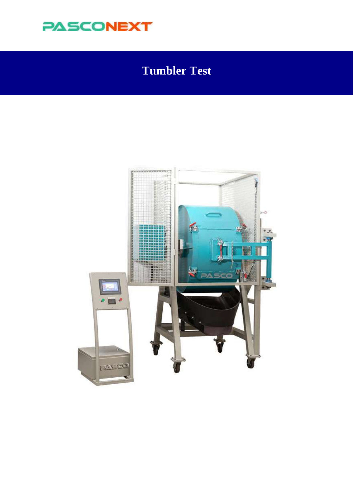

### **Tumbler Test**

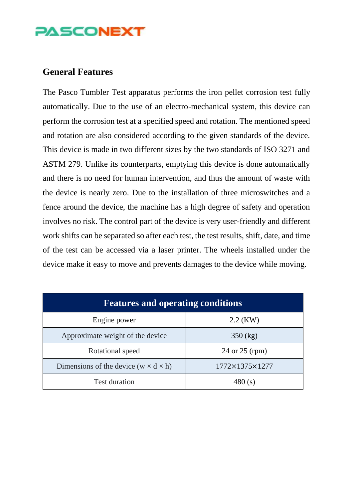## **PASCONEXT**

### **General Features**

The Pasco Tumbler Test apparatus performs the iron pellet corrosion test fully automatically. Due to the use of an electro-mechanical system, this device can perform the corrosion test at a specified speed and rotation. The mentioned speed and rotation are also considered according to the given standards of the device. This device is made in two different sizes by the two standards of ISO 3271 and ASTM 279. Unlike its counterparts, emptying this device is done automatically and there is no need for human intervention, and thus the amount of waste with the device is nearly zero. Due to the installation of three microswitches and a fence around the device, the machine has a high degree of safety and operation involves no risk. The control part of the device is very user-friendly and different work shifts can be separated so after each test, the test results, shift, date, and time of the test can be accessed via a laser printer. The wheels installed under the device make it easy to move and prevents damages to the device while moving.

| <b>Features and operating conditions</b>         |                            |  |  |
|--------------------------------------------------|----------------------------|--|--|
| Engine power                                     | $2.2$ (KW)                 |  |  |
| Approximate weight of the device                 | $350$ (kg)                 |  |  |
| Rotational speed                                 | 24 or 25 (rpm)             |  |  |
| Dimensions of the device $(w \times d \times h)$ | $1772\times1375\times1277$ |  |  |
| <b>Test duration</b>                             | 480 $(s)$                  |  |  |